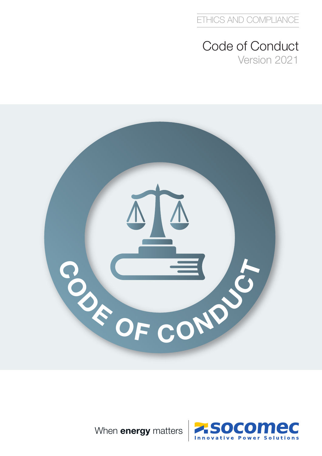### Code of Conduct Version 2021





When **energy** matters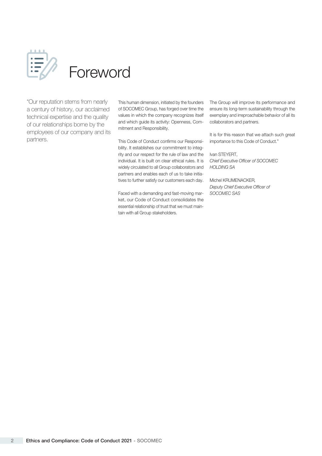

"Our reputation stems from nearly a century of history, our acclaimed technical expertise and the quality of our relationships borne by the employees of our company and its partners.

This human dimension, initiated by the founders of SOCOMEC Group, has forged over time the values in which the company recognizes itself and which guide its activity: Openness, Commitment and Responsibility.

This Code of Conduct confirms our Responsibility. It establishes our commitment to integrity and our respect for the rule of law and the individual. It is built on clear ethical rules. It is widely circulated to all Group collaborators and partners and enables each of us to take initiatives to further satisfy our customers each day. Michel KRUMENACKER,

Faced with a demanding and fast-moving market, our Code of Conduct consolidates the essential relationship of trust that we must maintain with all Group stakeholders.

The Group will improve its performance and ensure its long-term sustainability through the exemplary and irreproachable behavior of all its collaborators and partners.

It is for this reason that we attach such great importance to this Code of Conduct."

Ivan STEYERT, Chief Executive Officer of SOCOMEC HOLDING SA

Deputy Chief Executive Officer of SOCOMEC SAS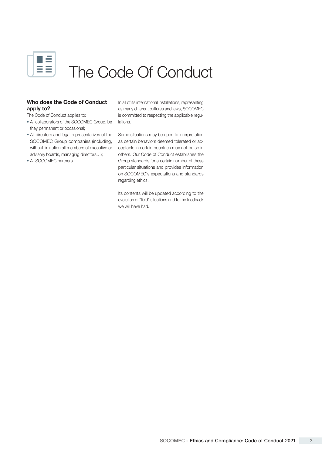

# The Code Of Conduct

### Who does the Code of Conduct apply to?

The Code of Conduct applies to:

- All collaborators of the SOCOMEC Group, be they permanent or occasional;
- SOCOMEC Group companies (including, advisory boards, managing directors…);
- All SOCOMEC partners.

In all of its international installations, representing as many different cultures and laws, SOCOMEC is committed to respecting the applicable regulations.

• All directors and legal representatives of the Some situations may be open to interpretation without limitation all members of executive or ceptable in certain countries may not be so in as certain behaviors deemed tolerated or acothers. Our Code of Conduct establishes the Group standards for a certain number of these particular situations and provides information on SOCOMEC's expectations and standards regarding ethics.

> Its contents will be updated according to the evolution of "field" situations and to the feedback we will have had.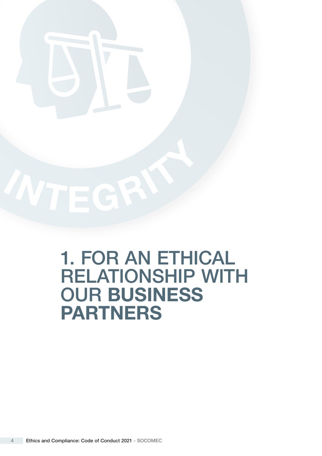

# 1. FOR AN ETHICAL RELATIONSHIP WITH OUR BUSINESS PARTNERS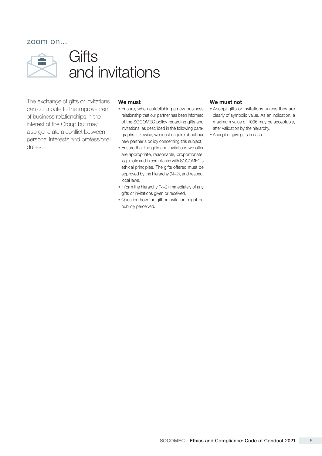

### **Gifts** and invitations

The exchange of gifts or invitations can contribute to the improvement of business relationships in the interest of the Group but may also generate a conflict between personal interests and professional duties.

### We must

- Ensure, when establishing a new business relationship that our partner has been informed of the SOCOMEC policy regarding gifts and invitations, as described in the following paragraphs. Likewise, we must enquire about our new partner's policy concerning this subject,
- Ensure that the gifts and invitations we offer are appropriate, reasonable, proportionate, legitimate and in compliance with SOCOMEC's ethical principles. The gifts offered must be approved by the hierarchy (N+2), and respect local laws,
- Inform the hierarchy (N+2) immediately of any gifts or invitations given or received,
- Question how the gift or invitation might be publicly perceived.

### We must not

- Accept gifts or invitations unless they are clearly of symbolic value. As an indication, a maximum value of 100€ may be acceptable, after validation by the hierarchy,
- Accept or give gifts in cash.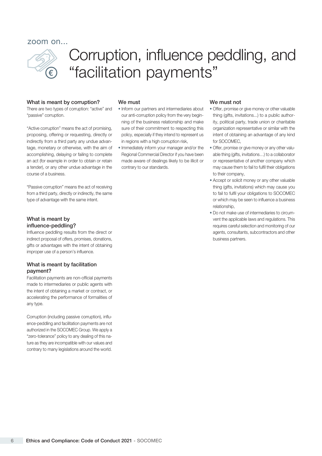

## Corruption, influence peddling, and "facilitation payments"

#### What is meant by corruption?

There are two types of corruption: "active" and "passive" corruption.

"Active corruption" means the act of promising, proposing, offering or requesting, directly or indirectly from a third party any undue advantage, monetary or otherwise, with the aim of accomplishing, delaying or failing to complete an act (for example in order to obtain or retain a tender), or any other undue advantage in the course of a business.

"Passive corruption" means the act of receiving from a third party, directly or indirectly, the same type of advantage with the same intent.

### What is meant by influence-peddling?

Influence peddling results from the direct or indirect proposal of offers, promises, donations, gifts or advantages with the intent of obtaining improper use of a person's influence.

### What is meant by facilitation payment?

Facilitation payments are non-official payments made to intermediaries or public agents with the intent of obtaining a market or contract, or accelerating the performance of formalities of any type.

Corruption (including passive corruption), influence-peddling and facilitation payments are not authorized in the SOCOMEC Group. We apply a "zero-tolerance" policy to any dealing of this nature as they are incompatible with our values and contrary to many legislations around the world.

#### We must

- Inform our partners and intermediaries about our anti-corruption policy from the very beginning of the business relationship and make sure of their commitment to respecting this policy, especially if they intend to represent us in regions with a high corruption risk,
- Immediately inform your manager and/or the Regional Commercial Director if you have been made aware of dealings likely to be illicit or contrary to our standards.

#### We must not

- Offer, promise or give money or other valuable thing (gifts, invitations...) to a public authority, political party, trade union or charitable organization representative or similar with the intent of obtaining an advantage of any kind for SOCOMEC,
- Offer, promise or give money or any other valuable thing (gifts, invitations…) to a collaborator or representative of another company which may cause them to fail to fulfil their obligations to their company,
- Accept or solicit money or any other valuable thing (gifts, invitations) which may cause you to fail to fulfil your obligations to SOCOMEC or which may be seen to influence a business relationship,
- Do not make use of intermediaries to circumvent the applicable laws and regulations. This requires careful selection and monitoring of our agents, consultants, subcontractors and other business partners.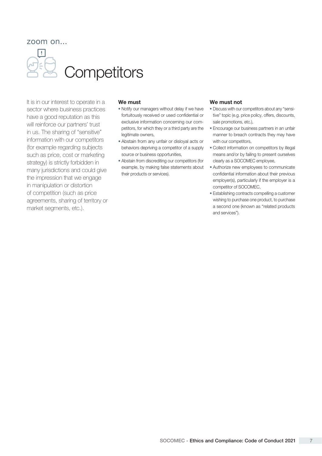**Competitors** 

It is in our interest to operate in a sector where business practices have a good reputation as this will reinforce our partners' trust in us. The sharing of "sensitive" information with our competitors (for example regarding subjects such as price, cost or marketing strategy) is strictly forbidden in many jurisdictions and could give the impression that we engage in manipulation or distortion of competition (such as price agreements, sharing of territory or market segments, etc.).

### We must

- Notify our managers without delay if we have fortuitously received or used confidential or exclusive information concerning our competitors, for which they or a third party are the legitimate owners,
- Abstain from any unfair or disloyal acts or behaviors depriving a competitor of a supply source or business opportunities,
- Abstain from discrediting our competitors (for example, by making false statements about their products or services).

### We must not

- Discuss with our competitors about any "sensitive" topic (e.g. price policy, offers, discounts, sale promotions, etc.),
- Encourage our business partners in an unfair manner to breach contracts they may have with our competitors,
- Collect information on competitors by illegal means and/or by failing to present ourselves clearly as a SOCOMEC employee,
- Authorize new employees to communicate confidential information about their previous employer(s), particularly if the employer is a competitor of SOCOMEC,
- Establishing contracts compelling a customer wishing to purchase one product, to purchase a second one (known as "related products and services").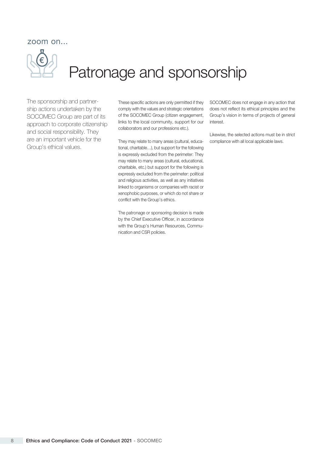

## Patronage and sponsorship

The sponsorship and partnership actions undertaken by the SOCOMEC Group are part of its approach to corporate citizenship and social responsibility. They are an important vehicle for the Group's ethical values.

comply with the values and strategic orientations of the SOCOMEC Group (citizen engagement, links to the local community, support for our collaborators and our professions etc.).

They may relate to many areas (cultural, educational, charitable…), but support for the following is expressly excluded from the perimeter: They may relate to many areas (cultural, educational, charitable, etc.) but support for the following is expressly excluded from the perimeter: political and religious activities, as well as any initiatives linked to organisms or companies with racist or xenophobic purposes, or which do not share or conflict with the Group's ethics.

The patronage or sponsoring decision is made by the Chief Executive Officer, in accordance with the Group's Human Resources, Communication and CSR policies.

These specific actions are only permitted if they SOCOMEC does not engage in any action that does not reflect its ethical principles and the Group's vision in terms of projects of general interest.

> Likewise, the selected actions must be in strict compliance with all local applicable laws.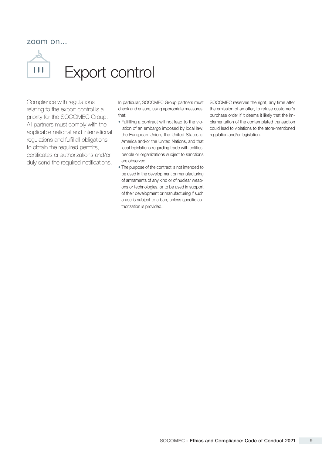

Compliance with regulations relating to the export control is a priority for the SOCOMEC Group. All partners must comply with the applicable national and international regulations and fulfil all obligations to obtain the required permits, certificates or authorizations and/or duly send the required notifications.

In particular, SOCOMEC Group partners must check and ensure, using appropriate measures, that:

- Fulfilling a contract will not lead to the violation of an embargo imposed by local law, the European Union, the United States of America and/or the United Nations, and that local legislations regarding trade with entities, people or organizations subject to sanctions are observed;
- The purpose of the contract is not intended to be used in the development or manufacturing of armaments of any kind or of nuclear weapons or technologies, or to be used in support of their development or manufacturing if such a use is subject to a ban, unless specific authorization is provided.

SOCOMEC reserves the right, any time after the emission of an offer, to refuse customer's purchase order if it deems it likely that the implementation of the contemplated transaction could lead to violations to the afore-mentioned regulation and/or legislation.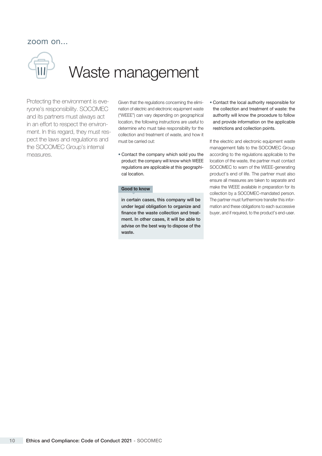

# Waste management

Protecting the environment is everyone's responsibility. SOCOMEC and its partners must always act in an effort to respect the environment. In this regard, they must respect the laws and regulations and the SOCOMEC Group's internal measures.

Given that the regulations concerning the elimination of electric and electronic equipment waste ("WEEE") can vary depending on geographical location, the following instructions are useful to determine who must take responsibility for the collection and treatment of waste, and how it must be carried out:

• Contact the company which sold you the product: the company will know which WEEE regulations are applicable at this geographical location.

### Good to know

in certain cases, this company will be under legal obligation to organize and finance the waste collection and treatment. In other cases, it will be able to advise on the best way to dispose of the waste.

• Contact the local authority responsible for the collection and treatment of waste: the authority will know the procedure to follow and provide information on the applicable restrictions and collection points.

If the electric and electronic equipment waste management falls to the SOCOMEC Group according to the regulations applicable to the location of the waste, the partner must contact SOCOMEC to warn of the WEEE-generating product's end of life. The partner must also ensure all measures are taken to separate and make the WEEE available in preparation for its collection by a SOCOMEC-mandated person. The partner must furthermore transfer this information and these obligations to each successive buyer, and if required, to the product's end-user.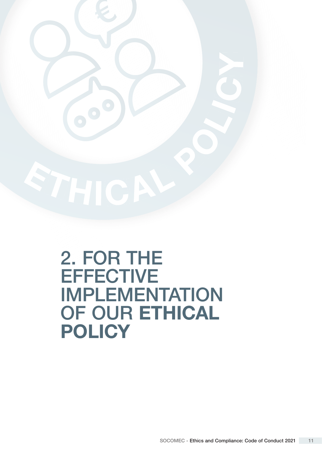

# 2. FOR THE **EFFECTIVE** IMPLEMENTATION OF OUR ETHICAL **POLICY**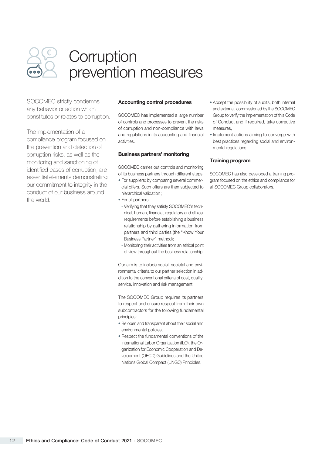

### **Corruption** prevention measures

SOCOMEC strictly condemns any behavior or action which constitutes or relates to corruption.

The implementation of a compliance program focused on the prevention and detection of corruption risks, as well as the monitoring and sanctioning of identified cases of corruption, are essential elements demonstrating our commitment to integrity in the conduct of our business around the world.

### Accounting control procedures

SOCOMEC has implemented a large number of controls and processes to prevent the risks of corruption and non-compliance with laws and regulations in its accounting and financial activities.

### Business partners' monitoring

SOCOMEC carries out controls and monitoring of its business partners through different steps:

- For suppliers: by comparing several commercial offers. Such offers are then subjected to hierarchical validation ;
- For all partners:
- Verifying that they satisfy SOCOMEC's technical, human, financial, regulatory and ethical requirements before establishing a business relationship by gathering information from partners and third parties (the "Know Your Business Partner" method);
- Monitoring their activities from an ethical point of view throughout the business relationship.

Our aim is to include social, societal and environmental criteria to our partner selection in addition to the conventional criteria of cost, quality, service, innovation and risk management.

The SOCOMEC Group requires its partners to respect and ensure respect from their own subcontractors for the following fundamental principles:

- Be open and transparent about their social and environmental policies,
- Respect the fundamental conventions of the International Labor Organization (ILO), the Organization for Economic Cooperation and Development (OECD) Guidelines and the United Nations Global Compact (UNGC) Principles.
- Accept the possibility of audits, both internal and external, commissioned by the SOCOMEC Group to verify the implementation of this Code of Conduct and if required, take corrective measures,
- Implement actions aiming to converge with best practices regarding social and environmental regulations.

### Training program

SOCOMEC has also developed a training program focused on the ethics and compliance for all SOCOMEC Group collaborators.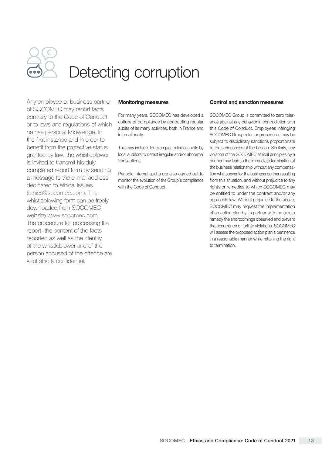

# Detecting corruption

Any employee or business partner of SOCOMEC may report facts contrary to the Code of Conduct or to laws and regulations of which he has personal knowledge. In the first instance and in order to benefit from the protective status granted by law, the whistleblower is invited to transmit his duly completed report form by sending a message to the e-mail address dedicated to ethical issues [\(ethics@socomec.com\)](mailto:ethics%40socomec.com?subject=). The whistleblowing form can be freely downloaded from SOCOMEC website [www.socomec.com.](https://www.socomec.com/rules-and-ethical-standards_en.html) The procedure for processing the report, the content of the facts reported as well as the identity of the whistleblower and of the person accused of the offence are kept strictly confidential.

### Monitoring measures

For many years, SOCOMEC has developed a culture of compliance by conducting regular audits of its many activities, both in France and internationally.

This may include, for example, external audits by local auditors to detect irregular and/or abnormal transactions.

Periodic internal audits are also carried out to monitor the evolution of the Group's compliance with the Code of Conduct.

### Control and sanction measures

SOCOMEC Group is committed to zero tolerance against any behavior in contradiction with this Code of Conduct. Employees infringing SOCOMEC Group rules or procedures may be subject to disciplinary sanctions proportionate to the seriousness of the breach. Similarly, any violation of the SOCOMEC ethical principles by a partner may lead to the immediate termination of the business relationship without any compensation whatsoever for the business partner resulting from this situation, and without prejudice to any rights or remedies to which SOCOMEC may be entitled to under the contract and/or any applicable law. Without prejudice to the above, SOCOMEC may request the implementation of an action plan by its partner with the aim to remedy the shortcomings observed and prevent the occurrence of further violations. SOCOMEC will assess the proposed action plan's pertinence in a reasonable manner while retaining the right to termination.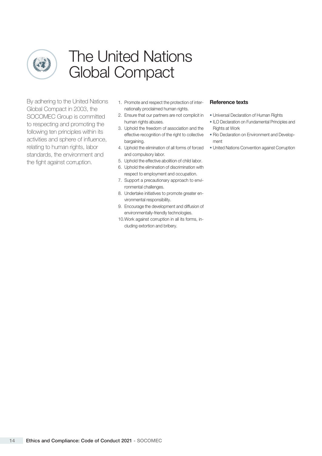

## The United Nations Global Compact

By adhering to the United Nations Global Compact in 2003, the SOCOMEC Group is committed to respecting and promoting the following ten principles within its activities and sphere of influence, relating to human rights, labor standards, the environment and the fight against corruption.

- 1. Promote and respect the protection of internationally proclaimed human rights.
- 2. Ensure that our partners are not complicit in human rights abuses.
- 3. Uphold the freedom of association and the bargaining.
- and compulsory labor.
- 5. Uphold the effective abolition of child labor.
- 6. Uphold the elimination of discrimination with respect to employment and occupation.
- 7. Support a precautionary approach to environmental challenges.
- 8. Undertake initiatives to promote greater environmental responsibility.
- 9. Encourage the development and diffusion of environmentally-friendly technologies.
- 10.Work against corruption in all its forms, including extortion and bribery.

### Reference texts

- Universal Declaration of Human Rights
- ILO Declaration on Fundamental Principles and Rights at Work
- effective recognition of the right to collective Rio Declaration on Environment and Development
- 4. Uphold the elimination of all forms of forced United Nations Convention against Corruption